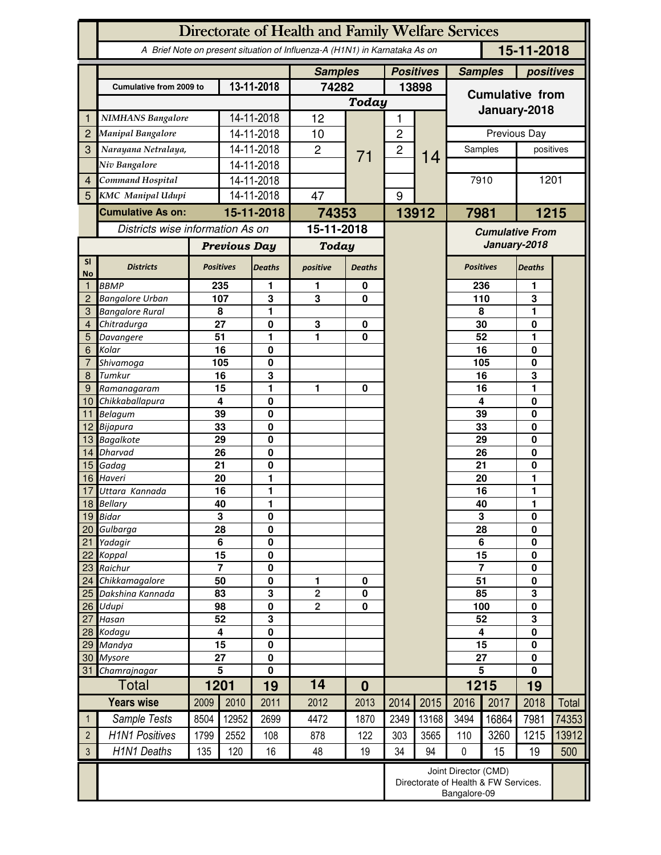|                 | Directorate of Health and Family Welfare Services                                        |                                                                              |                         |                                        |                |               |                             |                                        |                        |                  |               |           |  |
|-----------------|------------------------------------------------------------------------------------------|------------------------------------------------------------------------------|-------------------------|----------------------------------------|----------------|---------------|-----------------------------|----------------------------------------|------------------------|------------------|---------------|-----------|--|
|                 | A Brief Note on present situation of Influenza-A (H1N1) in Karnataka As on<br>15-11-2018 |                                                                              |                         |                                        |                |               |                             |                                        |                        |                  |               |           |  |
|                 |                                                                                          | <b>Samples</b>                                                               |                         | <b>Positives</b>                       |                |               | <b>Samples</b><br>positives |                                        |                        |                  |               |           |  |
|                 | Cumulative from 2009 to                                                                  |                                                                              |                         | 13-11-2018                             | 74282          |               | 13898                       |                                        | <b>Cumulative from</b> |                  |               |           |  |
|                 |                                                                                          |                                                                              |                         | Today                                  |                |               |                             | January-2018                           |                        |                  |               |           |  |
| 1               | <b>NIMHANS Bangalore</b>                                                                 |                                                                              |                         | 14-11-2018                             | 12             |               | 1                           |                                        |                        |                  |               |           |  |
| $\overline{2}$  | Manipal Bangalore                                                                        |                                                                              | 14-11-2018              |                                        | 10             |               | $\overline{c}$              |                                        | Previous Day           |                  |               |           |  |
| 3               | Narayana Netralaya,                                                                      |                                                                              |                         | 14-11-2018                             | $\overline{2}$ | 71            | $\overline{c}$              | 14                                     |                        | Samples          |               | positives |  |
|                 | Niv Bangalore                                                                            |                                                                              |                         | 14-11-2018                             |                |               |                             |                                        |                        |                  |               |           |  |
| $\overline{4}$  | Command Hospital                                                                         |                                                                              |                         | 14-11-2018                             |                |               |                             |                                        | 7910                   |                  | 1201          |           |  |
| 5 <sup>1</sup>  | <b>KMC</b> Manipal Udupi                                                                 |                                                                              | 14-11-2018              |                                        | 47             |               | 9                           |                                        |                        |                  |               |           |  |
|                 | <b>Cumulative As on:</b>                                                                 |                                                                              | 15-11-2018              |                                        | 74353          |               |                             | 13912                                  | 1215<br>7981           |                  |               |           |  |
|                 | Districts wise information As on                                                         |                                                                              |                         | 15-11-2018                             |                |               |                             | <b>Cumulative From</b><br>January-2018 |                        |                  |               |           |  |
|                 |                                                                                          | <b>Previous Day</b>                                                          |                         | <b>Today</b>                           |                |               |                             |                                        |                        |                  |               |           |  |
| SI<br><b>No</b> | <b>Districts</b>                                                                         | <b>Positives</b>                                                             |                         | <b>Deaths</b>                          | positive       | <b>Deaths</b> |                             |                                        |                        | <b>Positives</b> | <b>Deaths</b> |           |  |
| 1               | <b>BBMP</b>                                                                              | 235                                                                          |                         | 1                                      | 1              | 0             |                             |                                        |                        | 236              | 1             |           |  |
| 2               | <b>Bangalore Urban</b>                                                                   |                                                                              | 107                     | 3                                      | 3              | 0             |                             |                                        |                        | 110              | 3             |           |  |
| 3<br>4          | <b>Bangalore Rural</b>                                                                   |                                                                              | 8<br>27                 | 1                                      | 3              | 0             |                             |                                        |                        | 8<br>30          | 1             |           |  |
| 5               | Chitradurga<br>Davangere                                                                 |                                                                              | 51                      | 0<br>1                                 | 1              | 0             |                             |                                        |                        | 52               | 0<br>1        |           |  |
| 6               | Kolar                                                                                    | 16                                                                           |                         | 0                                      |                |               |                             |                                        |                        | 16               | 0             |           |  |
| $\overline{7}$  | Shivamoga                                                                                | 105                                                                          |                         | 0                                      |                |               |                             |                                        | 105                    |                  | 0             |           |  |
| 8               | Tumkur                                                                                   | 16                                                                           |                         | 3                                      |                |               |                             |                                        |                        | 16               | 3             |           |  |
| 9<br>10         | Ramanagaram<br>Chikkaballapura                                                           | 15<br>4                                                                      |                         | 1<br>0                                 | 1              | 0             |                             |                                        |                        | 16<br>4          | 1<br>0        |           |  |
| 11              | <b>Belagum</b>                                                                           | 39                                                                           |                         | $\bf{0}$                               |                |               |                             |                                        |                        | 39               | 0             |           |  |
| 12              | Bijapura                                                                                 | 33                                                                           |                         | $\bf{0}$                               |                |               |                             |                                        |                        | 33               |               |           |  |
| 13              | <b>Bagalkote</b>                                                                         | 29                                                                           |                         | $\pmb{0}$                              |                |               |                             |                                        |                        | 29               |               |           |  |
| 14              | <b>Dharvad</b>                                                                           | 26                                                                           |                         | $\mathbf 0$                            |                |               |                             |                                        |                        | 26               | 0             |           |  |
| 15<br>16        | Gadag<br>Haveri                                                                          | 21<br>20                                                                     |                         | $\bf{0}$<br>1                          |                |               |                             |                                        | 21<br>20               |                  | 0<br>1        |           |  |
| 17              | Uttara Kannada                                                                           |                                                                              | $\overline{16}$         | 1                                      |                |               |                             |                                        | 16                     |                  | 1             |           |  |
|                 | 18 Bellary                                                                               |                                                                              | 40                      | 1                                      |                |               |                             |                                        | 40                     |                  |               |           |  |
| 19              | <b>Bidar</b>                                                                             |                                                                              | 3                       | $\mathbf 0$                            |                |               |                             |                                        | 3                      |                  | 0             |           |  |
| 20 <sub>1</sub> | Gulbarga                                                                                 | $\overline{28}$                                                              |                         | $\mathbf 0$                            |                |               |                             |                                        | $\overline{28}$        |                  | 0             |           |  |
| 21<br>22        | Yadagir<br>Koppal                                                                        | 6<br>$\overline{15}$                                                         |                         | $\mathbf 0$<br>$\bf{0}$                |                |               |                             |                                        | 6<br>$\overline{15}$   |                  | 0<br>0        |           |  |
| 23              | Raichur                                                                                  | $\overline{7}$                                                               |                         | $\bf{0}$                               |                |               |                             |                                        |                        | $\overline{7}$   |               |           |  |
| 24              | Chikkamagalore                                                                           | 50                                                                           |                         | $\pmb{0}$                              | 1              | 0             |                             |                                        |                        | $\overline{51}$  |               |           |  |
| 25              | Dakshina Kannada                                                                         | 83                                                                           |                         | 3                                      | $\overline{2}$ | $\pmb{0}$     |                             |                                        | 85                     |                  | 3             |           |  |
| 26              | Udupi                                                                                    | 98                                                                           |                         | $\bf{0}$                               | $\overline{2}$ | $\mathbf 0$   |                             |                                        | 100                    |                  | 0             |           |  |
| 27<br>28        | Hasan<br>Kodagu                                                                          | 52<br>4                                                                      |                         | $\overline{\mathbf{3}}$<br>$\mathbf 0$ |                |               |                             |                                        | 52<br>4                |                  | 3<br>0        |           |  |
| 29              | Mandya                                                                                   | 15                                                                           |                         | $\bf{0}$                               |                |               |                             |                                        | 15                     |                  | 0             |           |  |
| 30 <sup>°</sup> | <b>Mysore</b>                                                                            | 27                                                                           |                         | $\bf{0}$                               |                |               |                             |                                        |                        | 27<br>0          |               |           |  |
| 31              | Chamrajnagar                                                                             |                                                                              | $\overline{\mathbf{5}}$ | $\mathbf 0$                            |                |               |                             |                                        | $\overline{5}$         |                  | 0             |           |  |
|                 | Total                                                                                    |                                                                              | 1201                    | 19                                     | 14             | $\bf{0}$      |                             |                                        |                        | 1215             | 19            |           |  |
|                 | <b>Years wise</b>                                                                        | 2009                                                                         | 2010                    | 2011                                   | 2012           | 2013          | 2014                        | 2015                                   | 2016                   | 2017             | 2018          | Total     |  |
| 1               | Sample Tests                                                                             | 8504                                                                         | 12952                   | 2699                                   | 4472           | 1870          | 2349                        | 13168                                  | 3494                   | 16864            | 7981          | 74353     |  |
| $\overline{2}$  | <b>H1N1 Positives</b>                                                                    | 1799                                                                         | 2552                    | 108                                    | 878            | 122           | 303                         | 3565                                   | 110                    | 3260             | 1215          | 13912     |  |
| 3               | <b>H1N1 Deaths</b>                                                                       | 135                                                                          | 120                     | 16                                     | 48             | 19            | 34                          | 94                                     | 0                      | 15               | 19            | 500       |  |
|                 |                                                                                          | Joint Director (CMD)<br>Directorate of Health & FW Services.<br>Bangalore-09 |                         |                                        |                |               |                             |                                        |                        |                  |               |           |  |